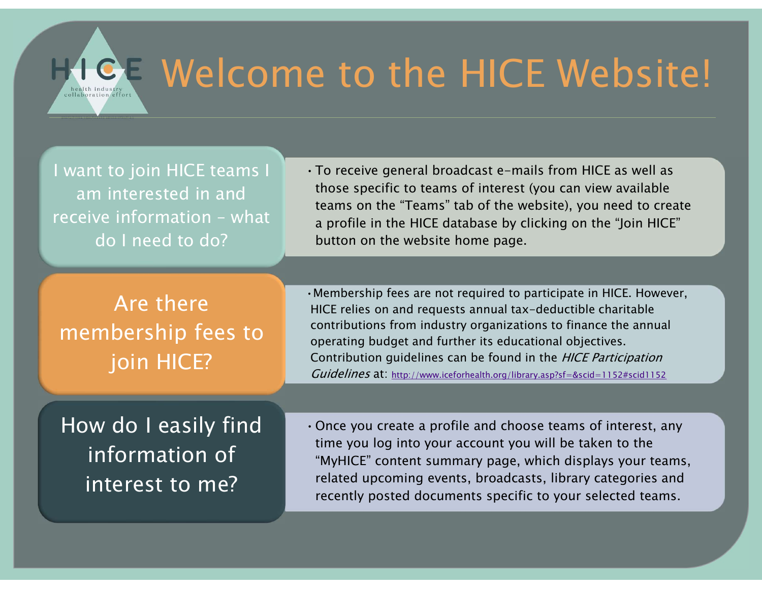

## Welcome to the HICE Website!  $\blacksquare$

I want to join HICE teams I am interested in and do I need to do?

•To receive general broadcast e-mails from HICE as well as those specific to teams of interest (you can view available teams on the "Teams" tab of the website), you need to create a profile in the HICE database by clicking on the "Join HICE" button on the website home page. Welcome to the HICE<br>
I want to join HICE teams<br>
am interested in and<br>
those specific to teams of interest (you have the "Teams" tab of the webser<br>
do I need to do?<br>
Are there<br>
Are there<br>
Are there

Are there membership fees to join HICE?

•Membership fees are not required to participate in HICE. However, HICE relies on and requests annual tax-deductible charitable contributions from industry organizations to finance the annual operating budget and further its educational objectives. Contribution guidelines can be found in the HICE Participation Guidelines at: http://www.iceforhealth.org/library.asp?sf=&scid=1152#scid1152

How do I easily find information of interest to me?

•Once you create a profile and choose teams of interest, any time you log into your account you will be taken to the "MyHICE" content summary page, which displays your teams, related upcoming events, broadcasts, library categories and recently posted documents specific to your selected teams.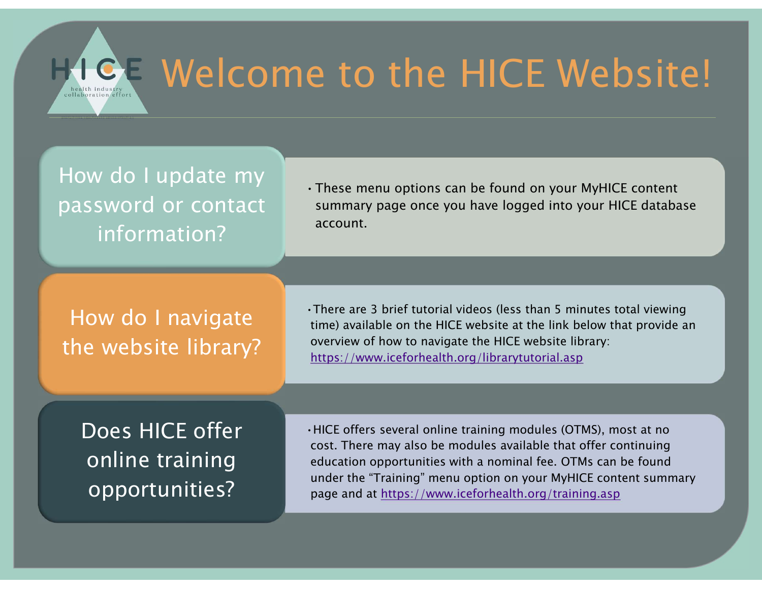

## **GE Welcome to the HICE Website!**

How do I update my password or contact information?

•These menu options can be found on your MyHICE content summary page once you have logged into your HICE database account.

How do I navigate the website library? •There are 3 brief tutorial videos (less than 5 minutes total viewing time) available on the HICE website at the link below that provide an overview of how to navigate the HICE website library: https://www.iceforhealth.org/librarytutorial.asp

Does HICE offer opportunities?

•HICE offers several online training modules (OTMS), most at no cost. There may also be modules available that offer continuing education opportunities with a nominal fee. OTMs can be found There are 3 brief tutorial videos (less than 5 minutes total viewing<br>time) available on the HICE website at the link below that provide an<br>overview of how to navigate the HICE website library:<br>https://www.iceforhealth.org/ page and at https://www.iceforhealth.org/training.asp **online training** education opportunities with a nominal fee. OTMs can be found<br>under the "Training" menu option on your MyHICE content summary